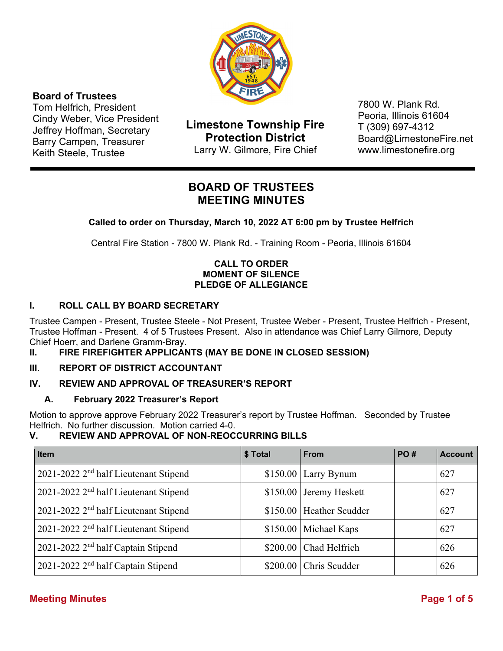

## **Board of Trustees**

Tom Helfrich, President Cindy Weber, Vice President Jeffrey Hoffman, Secretary Barry Campen, Treasurer Keith Steele, Trustee

**Limestone Township Fire Protection District**  Larry W. Gilmore, Fire Chief

7800 W. Plank Rd. Peoria, Illinois 61604 T (309) 697-4312 Board@LimestoneFire.net www.limestonefire.org

## **BOARD OF TRUSTEES MEETING MINUTES**

## **Called to order on Thursday, March 10, 2022 AT 6:00 pm by Trustee Helfrich**

Central Fire Station - 7800 W. Plank Rd. - Training Room - Peoria, Illinois 61604

### **CALL TO ORDER MOMENT OF SILENCE PLEDGE OF ALLEGIANCE**

## **I. ROLL CALL BY BOARD SECRETARY**

Trustee Campen - Present, Trustee Steele - Not Present, Trustee Weber - Present, Trustee Helfrich - Present, Trustee Hoffman - Present. 4 of 5 Trustees Present. Also in attendance was Chief Larry Gilmore, Deputy Chief Hoerr, and Darlene Gramm-Bray.

#### **II. FIRE FIREFIGHTER APPLICANTS (MAY BE DONE IN CLOSED SESSION)**

#### **III. REPORT OF DISTRICT ACCOUNTANT**

## **IV. REVIEW AND APPROVAL OF TREASURER'S REPORT**

#### **A. February 2022 Treasurer's Report**

Motion to approve approve February 2022 Treasurer's report by Trustee Hoffman. Seconded by Trustee Helfrich. No further discussion. Motion carried 4-0.

## **V. REVIEW AND APPROVAL OF NON-REOCCURRING BILLS**

| <b>Item</b>                                       | \$ Total | <b>From</b>              | <b>PO#</b> | <b>Account</b> |
|---------------------------------------------------|----------|--------------------------|------------|----------------|
| 2021-2022 2 <sup>nd</sup> half Lieutenant Stipend |          | $$150.00$ Larry Bynum    |            | 627            |
| 2021-2022 2 <sup>nd</sup> half Lieutenant Stipend |          | $$150.00$ Jeremy Heskett |            | 627            |
| 2021-2022 2 <sup>nd</sup> half Lieutenant Stipend |          | \$150.00 Heather Scudder |            | 627            |
| 2021-2022 2 <sup>nd</sup> half Lieutenant Stipend |          | \$150.00 Michael Kaps    |            | 627            |
| 2021-2022 2 <sup>nd</sup> half Captain Stipend    |          | \$200.00 Chad Helfrich   |            | 626            |
| 2021-2022 2 <sup>nd</sup> half Captain Stipend    |          | \$200.00 Chris Scudder   |            | 626            |

## **Meeting Minutes Page 1 of 5**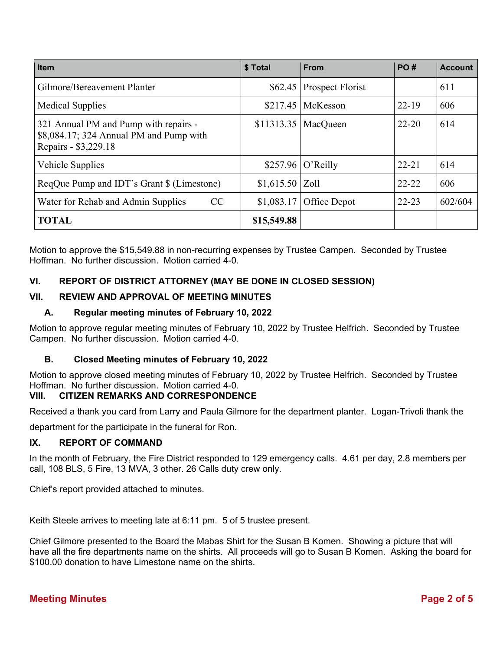| <b>Item</b>                                                                                              | \$ Total         | <b>From</b>      | PO#       | <b>Account</b> |
|----------------------------------------------------------------------------------------------------------|------------------|------------------|-----------|----------------|
| Gilmore/Bereavement Planter                                                                              | \$62.45          | Prospect Florist |           | 611            |
| <b>Medical Supplies</b>                                                                                  | \$217.45         | McKesson         | $22 - 19$ | 606            |
| 321 Annual PM and Pump with repairs -<br>\$8,084.17; 324 Annual PM and Pump with<br>Repairs - \$3,229.18 | \$11313.35       | MacQueen         | $22 - 20$ | 614            |
| Vehicle Supplies                                                                                         | \$257.96         | O'Reilly         | $22 - 21$ | 614            |
| ReqQue Pump and IDT's Grant \$ (Limestone)                                                               | $$1,615.50$ Zoll |                  | $22 - 22$ | 606            |
| Water for Rehab and Admin Supplies<br>CC                                                                 | \$1,083.17       | Office Depot     | $22 - 23$ | 602/604        |
| <b>TOTAL</b>                                                                                             | \$15,549.88      |                  |           |                |

Motion to approve the \$15,549.88 in non-recurring expenses by Trustee Campen. Seconded by Trustee Hoffman. No further discussion. Motion carried 4-0.

## **VI. REPORT OF DISTRICT ATTORNEY (MAY BE DONE IN CLOSED SESSION)**

#### **VII. REVIEW AND APPROVAL OF MEETING MINUTES**

#### **A. Regular meeting minutes of February 10, 2022**

Motion to approve regular meeting minutes of February 10, 2022 by Trustee Helfrich. Seconded by Trustee Campen. No further discussion. Motion carried 4-0.

#### **B. Closed Meeting minutes of February 10, 2022**

Motion to approve closed meeting minutes of February 10, 2022 by Trustee Helfrich. Seconded by Trustee Hoffman. No further discussion. Motion carried 4-0.

#### **VIII. CITIZEN REMARKS AND CORRESPONDENCE**

Received a thank you card from Larry and Paula Gilmore for the department planter. Logan-Trivoli thank the

department for the participate in the funeral for Ron.

#### **IX. REPORT OF COMMAND**

In the month of February, the Fire District responded to 129 emergency calls. 4.61 per day, 2.8 members per call, 108 BLS, 5 Fire, 13 MVA, 3 other. 26 Calls duty crew only.

Chief's report provided attached to minutes.

Keith Steele arrives to meeting late at 6:11 pm. 5 of 5 trustee present.

Chief Gilmore presented to the Board the Mabas Shirt for the Susan B Komen. Showing a picture that will have all the fire departments name on the shirts. All proceeds will go to Susan B Komen. Asking the board for \$100.00 donation to have Limestone name on the shirts.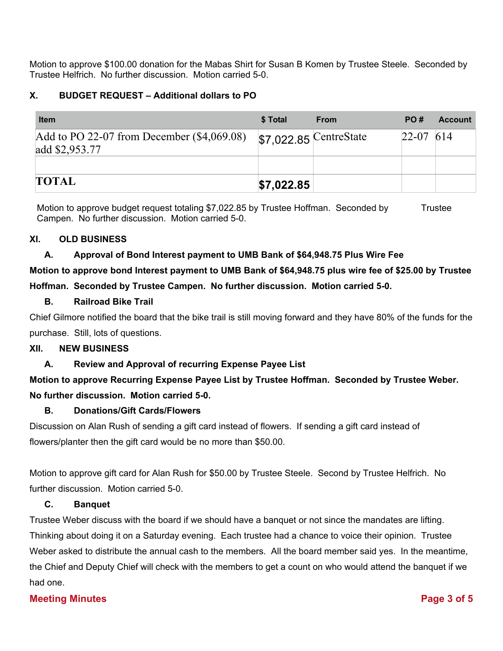Motion to approve \$100.00 donation for the Mabas Shirt for Susan B Komen by Trustee Steele. Seconded by Trustee Helfrich. No further discussion. Motion carried 5-0.

## **X. BUDGET REQUEST – Additional dollars to PO**

| <b>Item</b>                                                    | \$ Total   | <b>From</b>             | PO#         | <b>Account</b> |
|----------------------------------------------------------------|------------|-------------------------|-------------|----------------|
| Add to PO 22-07 from December $(\$4,069.08)$<br>add \$2,953.77 |            | $$7,022.85$ CentreState | $22-07$ 614 |                |
|                                                                |            |                         |             |                |
| <b>TOTAL</b>                                                   | \$7,022.85 |                         |             |                |

Motion to approve budget request totaling \$7,022.85 by Trustee Hoffman. Seconded by Trustee Campen. No further discussion. Motion carried 5-0.

#### **XI. OLD BUSINESS**

### **A. Approval of Bond Interest payment to UMB Bank of \$64,948.75 Plus Wire Fee**

# **Motion to approve bond Interest payment to UMB Bank of \$64,948.75 plus wire fee of \$25.00 by Trustee Hoffman. Seconded by Trustee Campen. No further discussion. Motion carried 5-0.**

#### **B. Railroad Bike Trail**

Chief Gilmore notified the board that the bike trail is still moving forward and they have 80% of the funds for the purchase. Still, lots of questions.

#### **XII. NEW BUSINESS**

**A. Review and Approval of recurring Expense Payee List** 

# **Motion to approve Recurring Expense Payee List by Trustee Hoffman. Seconded by Trustee Weber. No further discussion. Motion carried 5-0.**

#### **B. Donations/Gift Cards/Flowers**

Discussion on Alan Rush of sending a gift card instead of flowers. If sending a gift card instead of flowers/planter then the gift card would be no more than \$50.00.

Motion to approve gift card for Alan Rush for \$50.00 by Trustee Steele. Second by Trustee Helfrich. No further discussion. Motion carried 5-0.

#### **C. Banquet**

Trustee Weber discuss with the board if we should have a banquet or not since the mandates are lifting. Thinking about doing it on a Saturday evening. Each trustee had a chance to voice their opinion. Trustee Weber asked to distribute the annual cash to the members. All the board member said yes. In the meantime, the Chief and Deputy Chief will check with the members to get a count on who would attend the banquet if we had one.

#### **Meeting Minutes Page 3 of 5**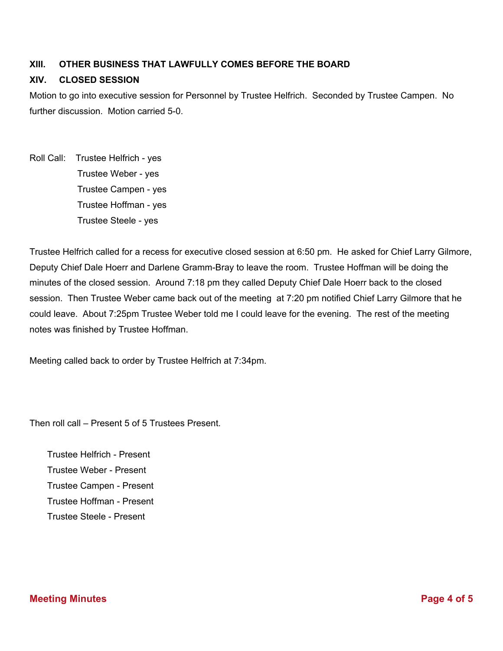## **XIII. OTHER BUSINESS THAT LAWFULLY COMES BEFORE THE BOARD**

### **XIV. CLOSED SESSION**

Motion to go into executive session for Personnel by Trustee Helfrich. Seconded by Trustee Campen. No further discussion. Motion carried 5-0.

Roll Call: Trustee Helfrich - yes Trustee Weber - yes Trustee Campen - yes Trustee Hoffman - yes Trustee Steele - yes

Trustee Helfrich called for a recess for executive closed session at 6:50 pm. He asked for Chief Larry Gilmore, Deputy Chief Dale Hoerr and Darlene Gramm-Bray to leave the room. Trustee Hoffman will be doing the minutes of the closed session. Around 7:18 pm they called Deputy Chief Dale Hoerr back to the closed session. Then Trustee Weber came back out of the meeting at 7:20 pm notified Chief Larry Gilmore that he could leave. About 7:25pm Trustee Weber told me I could leave for the evening. The rest of the meeting notes was finished by Trustee Hoffman.

Meeting called back to order by Trustee Helfrich at 7:34pm.

Then roll call – Present 5 of 5 Trustees Present.

 Trustee Helfrich - Present Trustee Weber - Present Trustee Campen - Present Trustee Hoffman - Present Trustee Steele - Present